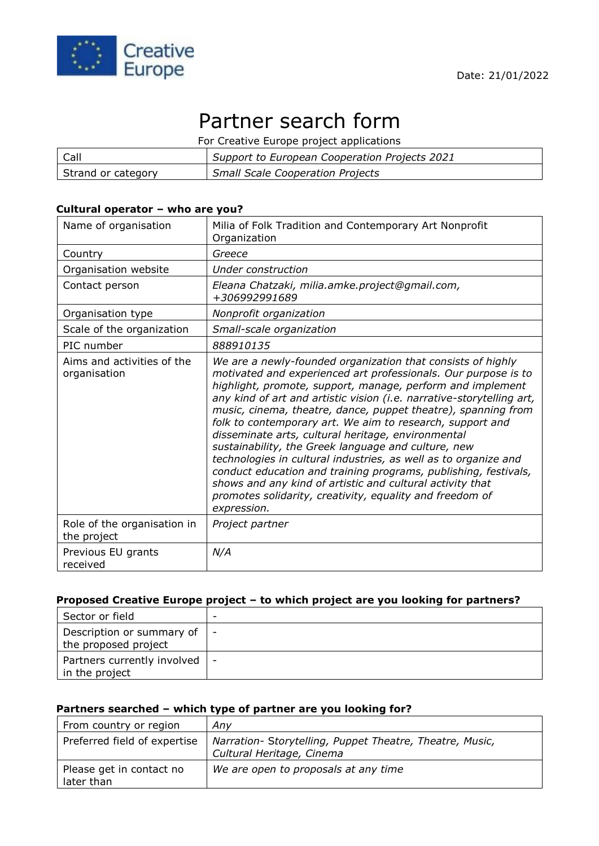

# Partner search form

For Creative Europe project applications

| Call               | Support to European Cooperation Projects 2021 |
|--------------------|-----------------------------------------------|
| Strand or category | <b>Small Scale Cooperation Projects</b>       |

#### **Cultural operator – who are you?**

| Name of organisation                       | Milia of Folk Tradition and Contemporary Art Nonprofit<br>Organization                                                                                                                                                                                                                                                                                                                                                                                                                                                                                                                                                                                                                                                                                                                        |
|--------------------------------------------|-----------------------------------------------------------------------------------------------------------------------------------------------------------------------------------------------------------------------------------------------------------------------------------------------------------------------------------------------------------------------------------------------------------------------------------------------------------------------------------------------------------------------------------------------------------------------------------------------------------------------------------------------------------------------------------------------------------------------------------------------------------------------------------------------|
| Country                                    | Greece                                                                                                                                                                                                                                                                                                                                                                                                                                                                                                                                                                                                                                                                                                                                                                                        |
| Organisation website                       | Under construction                                                                                                                                                                                                                                                                                                                                                                                                                                                                                                                                                                                                                                                                                                                                                                            |
| Contact person                             | Eleana Chatzaki, milia.amke.project@gmail.com,<br>+306992991689                                                                                                                                                                                                                                                                                                                                                                                                                                                                                                                                                                                                                                                                                                                               |
| Organisation type                          | Nonprofit organization                                                                                                                                                                                                                                                                                                                                                                                                                                                                                                                                                                                                                                                                                                                                                                        |
| Scale of the organization                  | Small-scale organization                                                                                                                                                                                                                                                                                                                                                                                                                                                                                                                                                                                                                                                                                                                                                                      |
| PIC number                                 | 888910135                                                                                                                                                                                                                                                                                                                                                                                                                                                                                                                                                                                                                                                                                                                                                                                     |
| Aims and activities of the<br>organisation | We are a newly-founded organization that consists of highly<br>motivated and experienced art professionals. Our purpose is to<br>highlight, promote, support, manage, perform and implement<br>any kind of art and artistic vision (i.e. narrative-storytelling art,<br>music, cinema, theatre, dance, puppet theatre), spanning from<br>folk to contemporary art. We aim to research, support and<br>disseminate arts, cultural heritage, environmental<br>sustainability, the Greek language and culture, new<br>technologies in cultural industries, as well as to organize and<br>conduct education and training programs, publishing, festivals,<br>shows and any kind of artistic and cultural activity that<br>promotes solidarity, creativity, equality and freedom of<br>expression. |
| Role of the organisation in<br>the project | Project partner                                                                                                                                                                                                                                                                                                                                                                                                                                                                                                                                                                                                                                                                                                                                                                               |
| Previous EU grants<br>received             | N/A                                                                                                                                                                                                                                                                                                                                                                                                                                                                                                                                                                                                                                                                                                                                                                                           |

#### **Proposed Creative Europe project – to which project are you looking for partners?**

| Sector or field                                   | $\overline{\phantom{0}}$ |
|---------------------------------------------------|--------------------------|
| Description or summary of<br>the proposed project | $\overline{\phantom{a}}$ |
| Partners currently involved<br>I in the project   |                          |

## **Partners searched – which type of partner are you looking for?**

| From country or region                 | Any                                                                                   |
|----------------------------------------|---------------------------------------------------------------------------------------|
| Preferred field of expertise           | Narration- Storytelling, Puppet Theatre, Theatre, Music,<br>Cultural Heritage, Cinema |
| Please get in contact no<br>later than | We are open to proposals at any time                                                  |